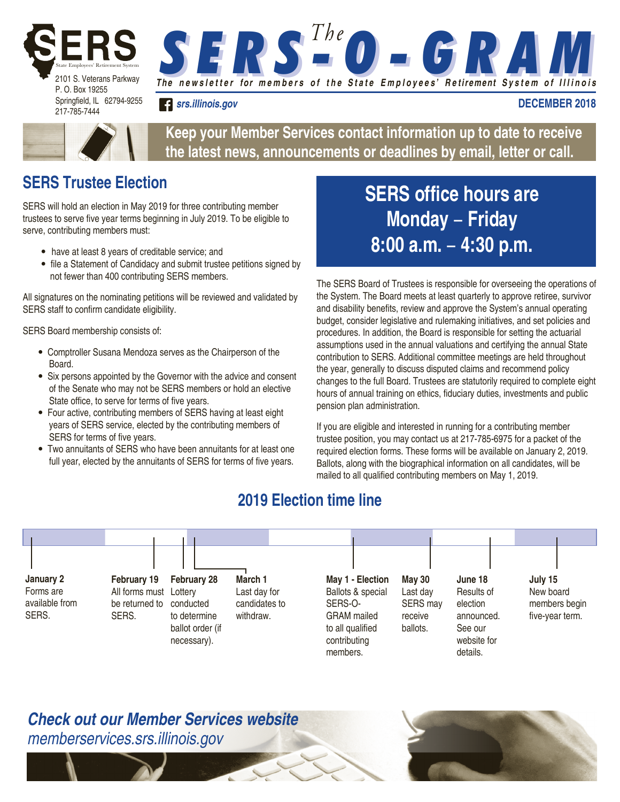

**S E R S <sup>The</sup> O - G R AM** 

*srs.illinois.gov*

**DECEMBER 2018**



**Keep your Member Services contact information up to date to receive the latest news, announcements or deadlines by email, letter or call.**

## **SERS Trustee Election**

SERS will hold an election in May 2019 for three contributing member trustees to serve five year terms beginning in July 2019. To be eligible to serve, contributing members must:

- have at least 8 years of creditable service; and
- file a Statement of Candidacy and submit trustee petitions signed by not fewer than 400 contributing SERS members.

All signatures on the nominating petitions will be reviewed and validated by SERS staff to confirm candidate eligibility.

SERS Board membership consists of:

- Comptroller Susana Mendoza serves as the Chairperson of the Board.
- Six persons appointed by the Governor with the advice and consent of the Senate who may not be SERS members or hold an elective State office, to serve for terms of five years.
- Four active, contributing members of SERS having at least eight years of SERS service, elected by the contributing members of SERS for terms of five years.
- Two annuitants of SERS who have been annuitants for at least one full year, elected by the annuitants of SERS for terms of five years.

## **SERS office hours are Monday** − **Friday 8:00 a.m.** − **4:30 p.m.**

The SERS Board of Trustees is responsible for overseeing the operations of the System. The Board meets at least quarterly to approve retiree, survivor and disability benefits, review and approve the System's annual operating budget, consider legislative and rulemaking initiatives, and set policies and procedures. In addition, the Board is responsible for setting the actuarial assumptions used in the annual valuations and certifying the annual State contribution to SERS. Additional committee meetings are held throughout the year, generally to discuss disputed claims and recommend policy changes to the full Board. Trustees are statutorily required to complete eight hours of annual training on ethics, fiduciary duties, investments and public pension plan administration.

If you are eligible and interested in running for a contributing member trustee position, you may contact us at 217-785-6975 for a packet of the required election forms. These forms will be available on January 2, 2019. Ballots, along with the biographical information on all candidates, will be mailed to all qualified contributing members on May 1, 2019.

## **2019 Election time line**



*Check out our Member Services website memberservices.srs.illinois.gov*